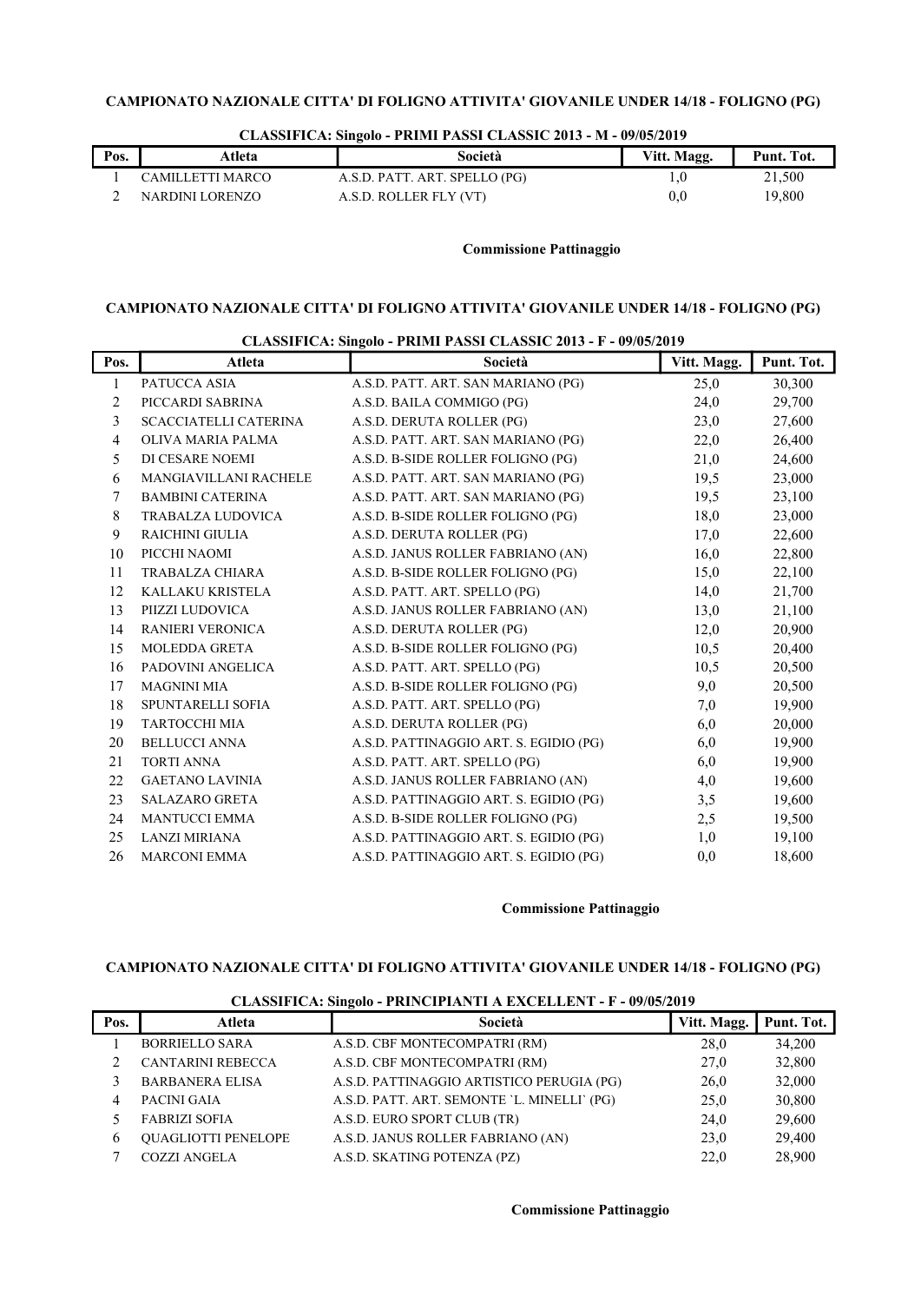| Pos. | Atleta           | Società                       | Vitt. Magg. | Punt. Tot. |
|------|------------------|-------------------------------|-------------|------------|
|      | CAMILLETTI MARCO | A.S.D. PATT. ART. SPELLO (PG) |             | 21.500     |
|      | NARDINI LORENZO  | A.S.D. ROLLER FLY (VT)        |             | 19,800     |

# CLASSIFICA: Singolo - PRIMI PASSI CLASSIC 2013 - M - 09/05/2019

# Commissione Pattinaggio

# CAMPIONATO NAZIONALE CITTA' DI FOLIGNO ATTIVITA' GIOVANILE UNDER 14/18 - FOLIGNO (PG)

| Atleta                       | Società                                |      | Punt. Tot.  |
|------------------------------|----------------------------------------|------|-------------|
| PATUCCA ASIA                 | A.S.D. PATT. ART. SAN MARIANO (PG)     | 25,0 | 30,300      |
| PICCARDI SABRINA             | A.S.D. BAILA COMMIGO (PG)              | 24,0 | 29,700      |
| <b>SCACCIATELLI CATERINA</b> | A.S.D. DERUTA ROLLER (PG)              | 23,0 | 27,600      |
| OLIVA MARIA PALMA            | A.S.D. PATT. ART. SAN MARIANO (PG)     | 22,0 | 26,400      |
| DI CESARE NOEMI              | A.S.D. B-SIDE ROLLER FOLIGNO (PG)      | 21,0 | 24,600      |
| <b>MANGIAVILLANI RACHELE</b> | A.S.D. PATT. ART. SAN MARIANO (PG)     | 19,5 | 23,000      |
| <b>BAMBINI CATERINA</b>      | A.S.D. PATT. ART. SAN MARIANO (PG)     | 19,5 | 23,100      |
| TRABALZA LUDOVICA            | A.S.D. B-SIDE ROLLER FOLIGNO (PG)      | 18,0 | 23,000      |
| RAICHINI GIULIA              | A.S.D. DERUTA ROLLER (PG)              | 17,0 | 22,600      |
| PICCHI NAOMI                 | A.S.D. JANUS ROLLER FABRIANO (AN)      | 16,0 | 22,800      |
| TRABALZA CHIARA              | A.S.D. B-SIDE ROLLER FOLIGNO (PG)      | 15,0 | 22,100      |
| KALLAKU KRISTELA             | A.S.D. PATT. ART. SPELLO (PG)          | 14,0 | 21,700      |
| PIIZZI LUDOVICA              | A.S.D. JANUS ROLLER FABRIANO (AN)      | 13,0 | 21,100      |
| <b>RANIERI VERONICA</b>      | A.S.D. DERUTA ROLLER (PG)              | 12,0 | 20,900      |
| <b>MOLEDDA GRETA</b>         | A.S.D. B-SIDE ROLLER FOLIGNO (PG)      | 10,5 | 20,400      |
| PADOVINI ANGELICA            | A.S.D. PATT. ART. SPELLO (PG)          | 10,5 | 20,500      |
| <b>MAGNINI MIA</b>           | A.S.D. B-SIDE ROLLER FOLIGNO (PG)      | 9,0  | 20,500      |
| SPUNTARELLI SOFIA            | A.S.D. PATT. ART. SPELLO (PG)          | 7,0  | 19,900      |
| TARTOCCHI MIA                | A.S.D. DERUTA ROLLER (PG)              | 6,0  | 20,000      |
| <b>BELLUCCI ANNA</b>         | A.S.D. PATTINAGGIO ART. S. EGIDIO (PG) | 6,0  | 19,900      |
| <b>TORTI ANNA</b>            | A.S.D. PATT. ART. SPELLO (PG)          | 6,0  | 19,900      |
| <b>GAETANO LAVINIA</b>       | A.S.D. JANUS ROLLER FABRIANO (AN)      | 4,0  | 19,600      |
| <b>SALAZARO GRETA</b>        | A.S.D. PATTINAGGIO ART. S. EGIDIO (PG) | 3,5  | 19,600      |
| <b>MANTUCCI EMMA</b>         | A.S.D. B-SIDE ROLLER FOLIGNO (PG)      | 2,5  | 19,500      |
| <b>LANZI MIRIANA</b>         | A.S.D. PATTINAGGIO ART. S. EGIDIO (PG) | 1,0  | 19,100      |
| <b>MARCONI EMMA</b>          | A.S.D. PATTINAGGIO ART. S. EGIDIO (PG) | 0,0  | 18,600      |
|                              |                                        |      | Vitt. Magg. |

#### CLASSIFICA: Singolo - PRIMI PASSI CLASSIC 2013 - F - 09/05/2019

## Commissione Pattinaggio

# CAMPIONATO NAZIONALE CITTA' DI FOLIGNO ATTIVITA' GIOVANILE UNDER 14/18 - FOLIGNO (PG)

| Pos. | Atleta                     | -<br>Società                                | Vitt. Magg. | Punt. Tot. |
|------|----------------------------|---------------------------------------------|-------------|------------|
|      | <b>BORRIELLO SARA</b>      | A.S.D. CBF MONTECOMPATRI (RM)               | 28.0        | 34,200     |
|      | <b>CANTARINI REBECCA</b>   | A.S.D. CBF MONTECOMPATRI (RM)               | 27,0        | 32,800     |
|      | <b>BARBANERA ELISA</b>     | A.S.D. PATTINAGGIO ARTISTICO PERUGIA (PG)   | 26,0        | 32,000     |
| 4    | PACINI GAIA                | A.S.D. PATT. ART. SEMONTE 'L. MINELLI' (PG) | 25,0        | 30,800     |
|      | <b>FABRIZI SOFIA</b>       | A.S.D. EURO SPORT CLUB (TR)                 | 24.0        | 29,600     |
| 6    | <b>OUAGLIOTTI PENELOPE</b> | A.S.D. JANUS ROLLER FABRIANO (AN)           | 23.0        | 29,400     |
|      | <b>COZZI ANGELA</b>        | A.S.D. SKATING POTENZA (PZ)                 | 22.0        | 28,900     |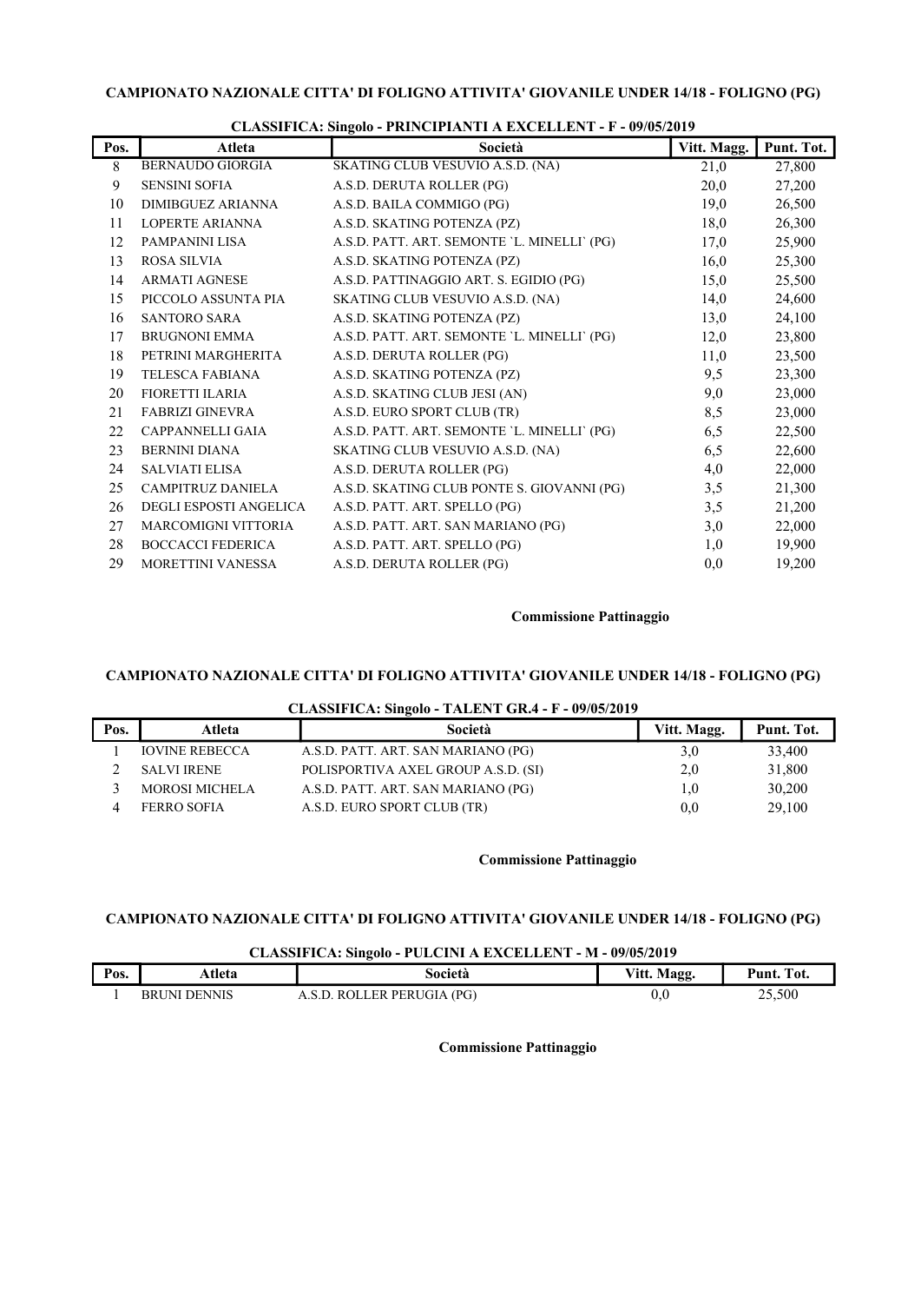| <b>BERNAUDO GIORGIA</b><br>21,0<br>SKATING CLUB VESUVIO A.S.D. (NA)<br>8<br>9<br>A.S.D. DERUTA ROLLER (PG)<br><b>SENSINI SOFIA</b><br>20,0<br>10<br>A.S.D. BAILA COMMIGO (PG)<br>19,0<br><b>DIMIBGUEZ ARIANNA</b><br>A.S.D. SKATING POTENZA (PZ)<br>11<br>LOPERTE ARIANNA<br>18,0<br>PAMPANINI LISA<br>A.S.D. PATT. ART. SEMONTE 'L. MINELLI' (PG)<br>12<br>17,0<br>13<br>A.S.D. SKATING POTENZA (PZ)<br><b>ROSA SILVIA</b><br>16,0<br>14<br><b>ARMATI AGNESE</b><br>A.S.D. PATTINAGGIO ART. S. EGIDIO (PG)<br>15,0<br>15<br>PICCOLO ASSUNTA PIA<br>SKATING CLUB VESUVIO A.S.D. (NA)<br>14,0<br>A.S.D. SKATING POTENZA (PZ)<br>13,0<br>16<br><b>SANTORO SARA</b><br><b>BRUGNONI EMMA</b><br>A.S.D. PATT. ART. SEMONTE 'L. MINELLI' (PG)<br>17<br>12,0<br>A.S.D. DERUTA ROLLER (PG)<br>18<br>PETRINI MARGHERITA<br>11,0<br>A.S.D. SKATING POTENZA (PZ)<br>9,5<br>19<br><b>TELESCA FABIANA</b> | 27,800<br>27,200 |
|----------------------------------------------------------------------------------------------------------------------------------------------------------------------------------------------------------------------------------------------------------------------------------------------------------------------------------------------------------------------------------------------------------------------------------------------------------------------------------------------------------------------------------------------------------------------------------------------------------------------------------------------------------------------------------------------------------------------------------------------------------------------------------------------------------------------------------------------------------------------------------------------|------------------|
|                                                                                                                                                                                                                                                                                                                                                                                                                                                                                                                                                                                                                                                                                                                                                                                                                                                                                              |                  |
|                                                                                                                                                                                                                                                                                                                                                                                                                                                                                                                                                                                                                                                                                                                                                                                                                                                                                              |                  |
|                                                                                                                                                                                                                                                                                                                                                                                                                                                                                                                                                                                                                                                                                                                                                                                                                                                                                              | 26,500           |
|                                                                                                                                                                                                                                                                                                                                                                                                                                                                                                                                                                                                                                                                                                                                                                                                                                                                                              | 26,300           |
|                                                                                                                                                                                                                                                                                                                                                                                                                                                                                                                                                                                                                                                                                                                                                                                                                                                                                              | 25,900           |
|                                                                                                                                                                                                                                                                                                                                                                                                                                                                                                                                                                                                                                                                                                                                                                                                                                                                                              | 25,300           |
|                                                                                                                                                                                                                                                                                                                                                                                                                                                                                                                                                                                                                                                                                                                                                                                                                                                                                              | 25,500           |
|                                                                                                                                                                                                                                                                                                                                                                                                                                                                                                                                                                                                                                                                                                                                                                                                                                                                                              | 24,600           |
|                                                                                                                                                                                                                                                                                                                                                                                                                                                                                                                                                                                                                                                                                                                                                                                                                                                                                              | 24,100           |
|                                                                                                                                                                                                                                                                                                                                                                                                                                                                                                                                                                                                                                                                                                                                                                                                                                                                                              | 23,800           |
|                                                                                                                                                                                                                                                                                                                                                                                                                                                                                                                                                                                                                                                                                                                                                                                                                                                                                              | 23,500           |
|                                                                                                                                                                                                                                                                                                                                                                                                                                                                                                                                                                                                                                                                                                                                                                                                                                                                                              | 23,300           |
| FIORETTI ILARIA<br>A.S.D. SKATING CLUB JESI (AN)<br>9,0<br>20                                                                                                                                                                                                                                                                                                                                                                                                                                                                                                                                                                                                                                                                                                                                                                                                                                | 23,000           |
| A.S.D. EURO SPORT CLUB (TR)<br>8,5<br>21<br><b>FABRIZI GINEVRA</b>                                                                                                                                                                                                                                                                                                                                                                                                                                                                                                                                                                                                                                                                                                                                                                                                                           | 23,000           |
| 22<br>6,5<br>A.S.D. PATT. ART. SEMONTE 'L. MINELLI' (PG)<br>CAPPANNELLI GAIA                                                                                                                                                                                                                                                                                                                                                                                                                                                                                                                                                                                                                                                                                                                                                                                                                 | 22,500           |
| 23<br><b>BERNINI DIANA</b><br>SKATING CLUB VESUVIO A.S.D. (NA)<br>6,5                                                                                                                                                                                                                                                                                                                                                                                                                                                                                                                                                                                                                                                                                                                                                                                                                        | 22,600           |
| 24<br><b>SALVIATI ELISA</b><br>A.S.D. DERUTA ROLLER (PG)<br>4,0                                                                                                                                                                                                                                                                                                                                                                                                                                                                                                                                                                                                                                                                                                                                                                                                                              | 22,000           |
| 25<br>A.S.D. SKATING CLUB PONTE S. GIOVANNI (PG)<br>3,5<br>CAMPITRUZ DANIELA                                                                                                                                                                                                                                                                                                                                                                                                                                                                                                                                                                                                                                                                                                                                                                                                                 | 21,300           |
| 26<br><b>DEGLI ESPOSTI ANGELICA</b><br>A.S.D. PATT. ART. SPELLO (PG)<br>3,5                                                                                                                                                                                                                                                                                                                                                                                                                                                                                                                                                                                                                                                                                                                                                                                                                  | 21,200           |
| 27<br><b>MARCOMIGNI VITTORIA</b><br>A.S.D. PATT. ART. SAN MARIANO (PG)<br>3,0                                                                                                                                                                                                                                                                                                                                                                                                                                                                                                                                                                                                                                                                                                                                                                                                                | 22,000           |
| 28<br><b>BOCCACCI FEDERICA</b><br>A.S.D. PATT. ART. SPELLO (PG)<br>1,0                                                                                                                                                                                                                                                                                                                                                                                                                                                                                                                                                                                                                                                                                                                                                                                                                       | 19,900           |
| 29<br>A.S.D. DERUTA ROLLER (PG)<br><b>MORETTINI VANESSA</b><br>0.0                                                                                                                                                                                                                                                                                                                                                                                                                                                                                                                                                                                                                                                                                                                                                                                                                           | 19,200           |

CLASSIFICA: Singolo - PRINCIPIANTI A EXCELLENT - F - 09/05/2019

## Commissione Pattinaggio

# CAMPIONATO NAZIONALE CITTA' DI FOLIGNO ATTIVITA' GIOVANILE UNDER 14/18 - FOLIGNO (PG)

## CLASSIFICA: Singolo - TALENT GR.4 - F - 09/05/2019

| Pos. | Atleta                | Società                             | Vitt. Magg. | Punt. Tot. |
|------|-----------------------|-------------------------------------|-------------|------------|
|      | <b>IOVINE REBECCA</b> | A.S.D. PATT. ART. SAN MARIANO (PG)  | 3,0         | 33,400     |
|      | <b>SALVI IRENE</b>    | POLISPORTIVA AXEL GROUP A.S.D. (SI) | 2,0         | 31,800     |
|      | <b>MOROSI MICHELA</b> | A.S.D. PATT. ART. SAN MARIANO (PG)  | 0.1         | 30,200     |
|      | FERRO SOFIA           | A.S.D. EURO SPORT CLUB (TR)         | 0,0         | 29,100     |

# Commissione Pattinaggio

# CAMPIONATO NAZIONALE CITTA' DI FOLIGNO ATTIVITA' GIOVANILE UNDER 14/18 - FOLIGNO (PG)

# CLASSIFICA: Singolo - PULCINI A EXCELLENT - M - 09/05/2019

| Pos. | Atleta              | Società                         | <b>B</b> <i>B</i><br>Vitt.<br><b>Magg.</b> | <b>CONTRACTOR</b><br>$P$ unt.<br>Tot. |
|------|---------------------|---------------------------------|--------------------------------------------|---------------------------------------|
|      | DENNIS<br>RР<br>INL | PG<br>PERL'<br>нR.<br>$11 - 11$ | 0.C                                        | 25,500                                |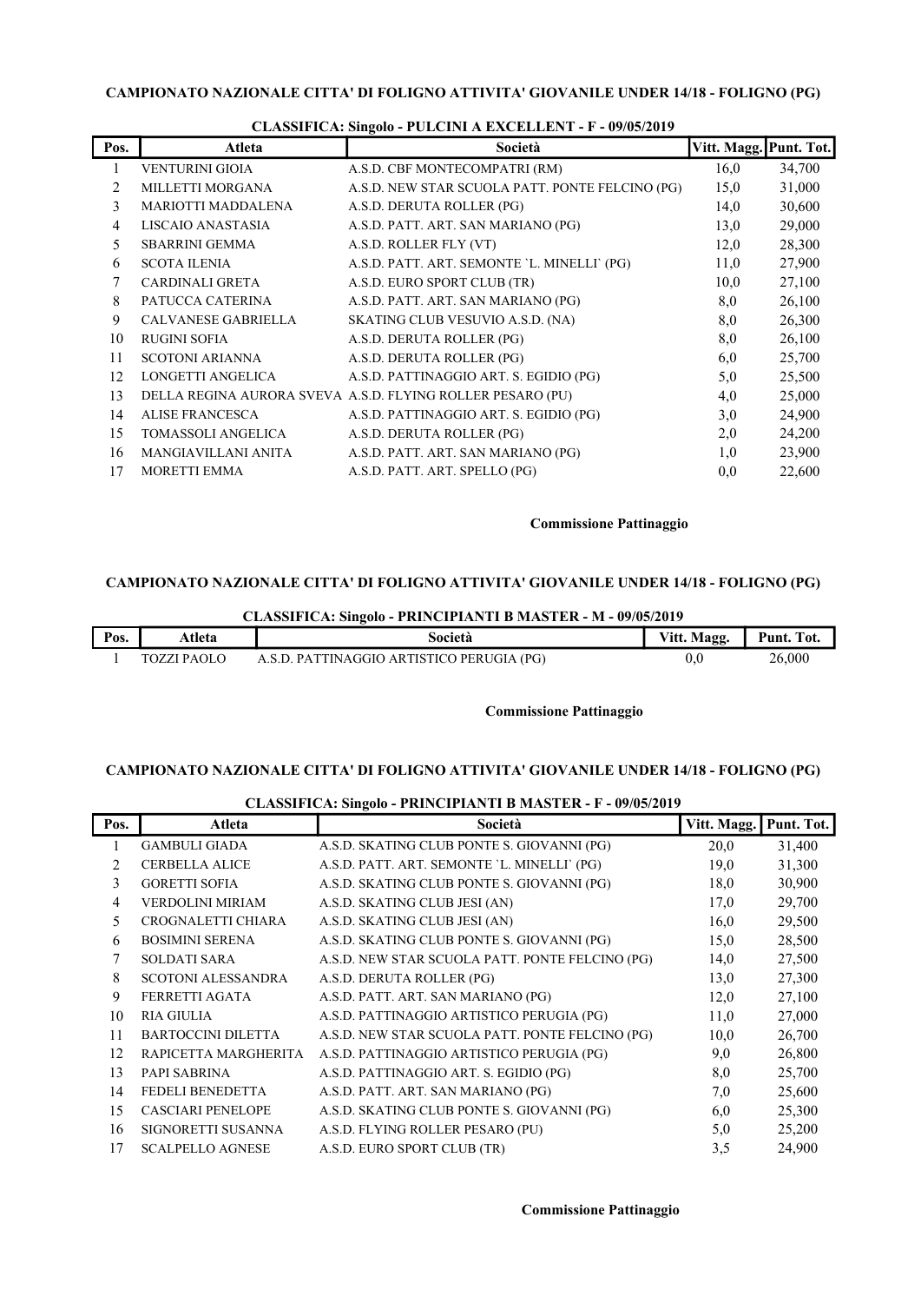| Pos. | Atleta                     | Società                                                    | Vitt. Magg. Punt. Tot. |        |
|------|----------------------------|------------------------------------------------------------|------------------------|--------|
|      | <b>VENTURINI GIOIA</b>     | A.S.D. CBF MONTECOMPATRI (RM)                              | 16,0                   | 34,700 |
| 2    | MILLETTI MORGANA           | A.S.D. NEW STAR SCUOLA PATT. PONTE FELCINO (PG)            | 15,0                   | 31,000 |
| 3    | <b>MARIOTTI MADDALENA</b>  | A.S.D. DERUTA ROLLER (PG)                                  | 14,0                   | 30,600 |
| 4    | LISCAIO ANASTASIA          | A.S.D. PATT. ART. SAN MARIANO (PG)                         | 13,0                   | 29,000 |
| 5    | <b>SBARRINI GEMMA</b>      | A.S.D. ROLLER FLY (VT)                                     | 12,0                   | 28,300 |
| 6    | <b>SCOTA ILENIA</b>        | A.S.D. PATT. ART. SEMONTE 'L. MINELLI' (PG)                | 11,0                   | 27,900 |
| 7    | <b>CARDINALI GRETA</b>     | A.S.D. EURO SPORT CLUB (TR)                                | 10,0                   | 27,100 |
| 8    | PATUCCA CATERINA           | A.S.D. PATT. ART. SAN MARIANO (PG)                         | 8,0                    | 26,100 |
| 9    | <b>CALVANESE GABRIELLA</b> | SKATING CLUB VESUVIO A.S.D. (NA)                           | 8,0                    | 26,300 |
| 10   | <b>RUGINI SOFIA</b>        | A.S.D. DERUTA ROLLER (PG)                                  | 8,0                    | 26,100 |
| 11   | <b>SCOTONI ARIANNA</b>     | A.S.D. DERUTA ROLLER (PG)                                  | 6,0                    | 25,700 |
| 12   | LONGETTI ANGELICA          | A.S.D. PATTINAGGIO ART. S. EGIDIO (PG)                     | 5,0                    | 25,500 |
| 13   |                            | DELLA REGINA AURORA SVEVA A.S.D. FLYING ROLLER PESARO (PU) | 4,0                    | 25,000 |
| 14   | <b>ALISE FRANCESCA</b>     | A.S.D. PATTINAGGIO ART. S. EGIDIO (PG)                     | 3,0                    | 24,900 |
| 15   | TOMASSOLI ANGELICA         | A.S.D. DERUTA ROLLER (PG)                                  | 2,0                    | 24,200 |
| 16   | MANGIAVILLANI ANITA        | A.S.D. PATT. ART. SAN MARIANO (PG)                         | 1,0                    | 23,900 |
| 17   | <b>MORETTI EMMA</b>        | A.S.D. PATT. ART. SPELLO (PG)                              | 0,0                    | 22,600 |

## CLASSIFICA: Singolo - PULCINI A EXCELLENT - F - 09/05/2019

## Commissione Pattinaggio

## CAMPIONATO NAZIONALE CITTA' DI FOLIGNO ATTIVITA' GIOVANILE UNDER 14/18 - FOLIGNO (PG)

CLASSIFICA: Singolo - PRINCIPIANTI B MASTER - M - 09/05/2019

| Pos. | Atleta             | Società                                   | Vitt. Magg. | Punt. Tot. |
|------|--------------------|-------------------------------------------|-------------|------------|
|      | <b>TOZZI PAOLO</b> | A.S.D. PATTINAGGIO ARTISTICO PERUGIA (PG) | 0(          | 26,000     |

# Commissione Pattinaggio

# CAMPIONATO NAZIONALE CITTA' DI FOLIGNO ATTIVITA' GIOVANILE UNDER 14/18 - FOLIGNO (PG)

|                |                           | CERDON TOR, ORIGINAL TRIVER HE CHANGE THE       |             |            |
|----------------|---------------------------|-------------------------------------------------|-------------|------------|
| Pos.           | Atleta                    | Società                                         | Vitt. Magg. | Punt. Tot. |
|                | <b>GAMBULI GIADA</b>      | A.S.D. SKATING CLUB PONTE S. GIOVANNI (PG)      | 20,0        | 31,400     |
| $\mathfrak{D}$ | <b>CERBELLA ALICE</b>     | A.S.D. PATT. ART. SEMONTE 'L. MINELLI' (PG)     | 19,0        | 31,300     |
| 3              | <b>GORETTI SOFIA</b>      | A.S.D. SKATING CLUB PONTE S. GIOVANNI (PG)      | 18,0        | 30,900     |
| 4              | <b>VERDOLINI MIRIAM</b>   | A.S.D. SKATING CLUB JESI (AN)                   | 17,0        | 29,700     |
| 5.             | CROGNALETTI CHIARA        | A.S.D. SKATING CLUB JESI (AN)                   | 16,0        | 29,500     |
| 6              | <b>BOSIMINI SERENA</b>    | A.S.D. SKATING CLUB PONTE S. GIOVANNI (PG)      | 15,0        | 28,500     |
|                | <b>SOLDATI SARA</b>       | A.S.D. NEW STAR SCUOLA PATT. PONTE FELCINO (PG) | 14,0        | 27,500     |
| 8              | <b>SCOTONI ALESSANDRA</b> | A.S.D. DERUTA ROLLER (PG)                       | 13,0        | 27,300     |
| 9              | FERRETTI AGATA            | A.S.D. PATT. ART. SAN MARIANO (PG)              | 12,0        | 27,100     |
| 10             | <b>RIA GIULIA</b>         | A.S.D. PATTINAGGIO ARTISTICO PERUGIA (PG)       | 11,0        | 27,000     |
| 11             | <b>BARTOCCINI DILETTA</b> | A.S.D. NEW STAR SCUOLA PATT. PONTE FELCINO (PG) | 10,0        | 26,700     |
| 12             | RAPICETTA MARGHERITA      | A.S.D. PATTINAGGIO ARTISTICO PERUGIA (PG)       | 9,0         | 26,800     |
| 13             | PAPI SABRINA              | A.S.D. PATTINAGGIO ART. S. EGIDIO (PG)          | 8,0         | 25,700     |
| 14             | FEDELI BENEDETTA          | A.S.D. PATT. ART. SAN MARIANO (PG)              | 7,0         | 25,600     |
| 15             | <b>CASCIARI PENELOPE</b>  | A.S.D. SKATING CLUB PONTE S. GIOVANNI (PG)      | 6,0         | 25,300     |
| 16             | SIGNORETTI SUSANNA        | A.S.D. FLYING ROLLER PESARO (PU)                | 5,0         | 25,200     |
| 17             | <b>SCALPELLO AGNESE</b>   | A.S.D. EURO SPORT CLUB (TR)                     | 3,5         | 24,900     |

# CLASSIFICA: Singolo - PRINCIPIANTI B MASTER - F - 09/05/2019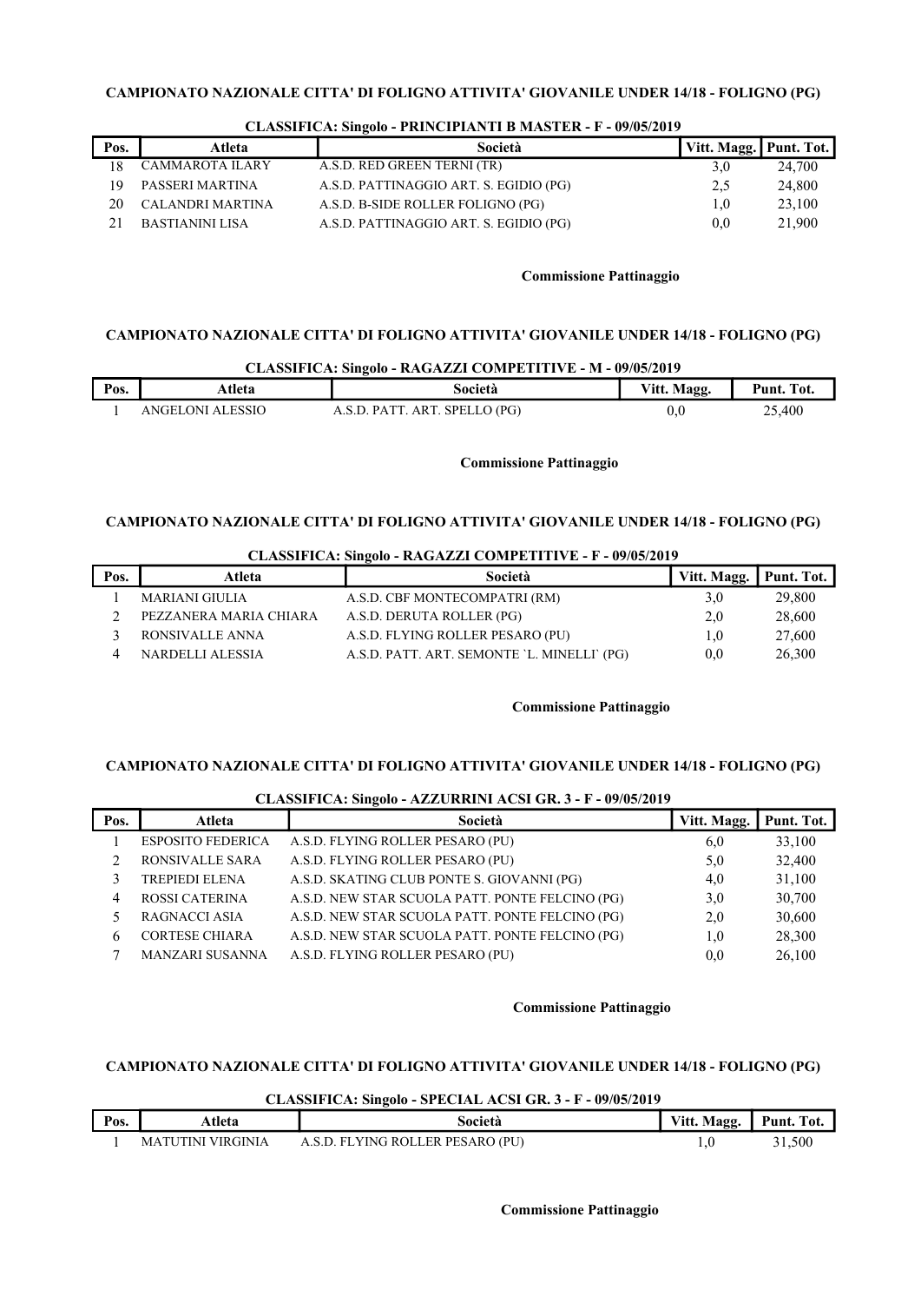| Pos. | Atleta           | Società                                | Vitt. Magg. Punt. Tot. |        |
|------|------------------|----------------------------------------|------------------------|--------|
|      | CAMMAROTA ILARY  | A.S.D. RED GREEN TERNI (TR)            | 3.0                    | 24,700 |
| 19   | PASSERI MARTINA  | A.S.D. PATTINAGGIO ART. S. EGIDIO (PG) | 2.5                    | 24,800 |
| 20   | CALANDRI MARTINA | A.S.D. B-SIDE ROLLER FOLIGNO (PG)      | 1.0                    | 23,100 |
|      | BASTIANINI LISA  | A.S.D. PATTINAGGIO ART. S. EGIDIO (PG) | 0.0                    | 21.900 |

## CLASSIFICA: Singolo - PRINCIPIANTI B MASTER - F - 09/05/2019

## Commissione Pattinaggio

## CAMPIONATO NAZIONALE CITTA' DI FOLIGNO ATTIVITA' GIOVANILE UNDER 14/18 - FOLIGNO (PG)

|      | CLASSIFICA: Singolo - RAGAZZI COMPETITIVE - M - 09/05/2019 |                               |             |            |  |  |
|------|------------------------------------------------------------|-------------------------------|-------------|------------|--|--|
| Pos. | Atleta                                                     | Società                       | Vitt. Magg. | Punt. Tot. |  |  |
|      | ANGELONI ALESSIO                                           | A.S.D. PATT. ART. SPELLO (PG) | 0.0         | 25,400     |  |  |

## Commissione Pattinaggio

# CAMPIONATO NAZIONALE CITTA' DI FOLIGNO ATTIVITA' GIOVANILE UNDER 14/18 - FOLIGNO (PG)

| Pos. | Atleta                 | Società                                     | Vitt. Magg.   Punt. Tot. |        |
|------|------------------------|---------------------------------------------|--------------------------|--------|
|      | <b>MARIANI GIULIA</b>  | A.S.D. CBF MONTECOMPATRI (RM)               | 3,0                      | 29,800 |
|      | PEZZANERA MARIA CHIARA | A.S.D. DERUTA ROLLER (PG)                   | 2,0                      | 28,600 |
|      | RONSIVALLE ANNA        | A.S.D. FLYING ROLLER PESARO (PU)            | $1.0\,$                  | 27,600 |
|      | NARDELLI ALESSIA       | A.S.D. PATT. ART. SEMONTE 'L. MINELLI' (PG) | 0.0                      | 26,300 |

# CLASSIFICA: Singolo - RAGAZZI COMPETITIVE - F - 09/05/2019

#### Commissione Pattinaggio

## CAMPIONATO NAZIONALE CITTA' DI FOLIGNO ATTIVITA' GIOVANILE UNDER 14/18 - FOLIGNO (PG)

# CLASSIFICA: Singolo - AZZURRINI ACSI GR. 3 - F - 09/05/2019 Pos. Atleta 1 - Società Vitt. Magg. Punt. Tot. 1 ESPOSITO FEDERICA A.S.D. FLYING ROLLER PESARO (PU) 6,0 33,100 2 RONSIVALLE SARA A.S.D. FLYING ROLLER PESARO (PU) 5,0 32,400 3 TREPIEDI ELENA A.S.D. SKATING CLUB PONTE S. GIOVANNI (PG) 4,0 31,100 4 ROSSI CATERINA A.S.D. NEW STAR SCUOLA PATT. PONTE FELCINO (PG) 3,0 30,700 5 RAGNACCI ASIA A.S.D. NEW STAR SCUOLA PATT. PONTE FELCINO (PG) 2,0 30,600 6 CORTESE CHIARA A.S.D. NEW STAR SCUOLA PATT. PONTE FELCINO (PG) 1,0 28,300 7 MANZARI SUSANNA A.S.D. FLYING ROLLER PESARO (PU) 0,0 26,100

## Commissione Pattinaggio

# CAMPIONATO NAZIONALE CITTA' DI FOLIGNO ATTIVITA' GIOVANILE UNDER 14/18 - FOLIGNO (PG)

#### CLASSIFICA: Singolo - SPECIAL ACSI GR. 3 - F - 09/05/2019

| Pos. | Atleta            | Società                          | Vitt. Magg. | Punt. Tot. |
|------|-------------------|----------------------------------|-------------|------------|
|      | MATUTINI VIRGINIA | A.S.D. FLYING ROLLER PESARO (PU) |             | 31,500     |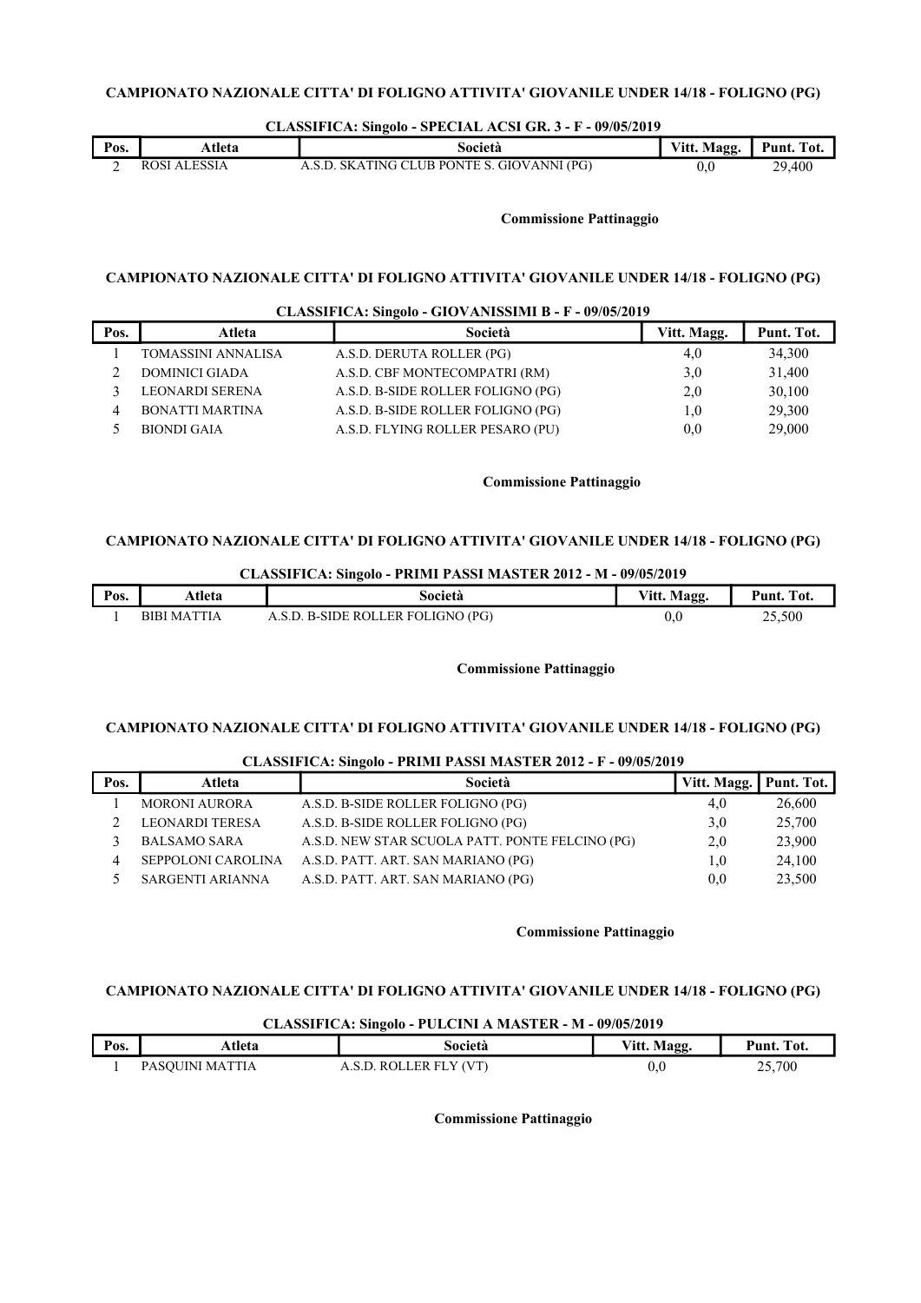#### CLASSIFICA: Singolo - SPECIAL ACSI GR. 3 - F - 09/05/2019

| Pos. | Atleta              | Società                                    | Vitt. Magg. | Punt. Tot. |
|------|---------------------|--------------------------------------------|-------------|------------|
|      | <b>ROSI ALESSIA</b> | A.S.D. SKATING CLUB PONTE S. GIOVANNI (PG) | v.u         | 29,400     |

#### Commissione Pattinaggio

## CAMPIONATO NAZIONALE CITTA' DI FOLIGNO ATTIVITA' GIOVANILE UNDER 14/18 - FOLIGNO (PG)

|      |                        | CLASSIFICA: Singolo - GIOVANISSIMI B - F - 09/05/2019 |             |            |
|------|------------------------|-------------------------------------------------------|-------------|------------|
| Pos. | Atleta                 | Società                                               | Vitt. Magg. | Punt. Tot. |
|      | TOMASSINI ANNALISA     | A.S.D. DERUTA ROLLER (PG)                             | 4,0         | 34,300     |
|      | <b>DOMINICI GIADA</b>  | A.S.D. CBF MONTECOMPATRI (RM)                         | 3,0         | 31,400     |
|      | <b>LEONARDI SERENA</b> | A.S.D. B-SIDE ROLLER FOLIGNO (PG)                     | 2,0         | 30,100     |
|      | <b>BONATTI MARTINA</b> | A.S.D. B-SIDE ROLLER FOLIGNO (PG)                     | 1,0         | 29,300     |
|      | <b>BIONDI GAIA</b>     | A.S.D. FLYING ROLLER PESARO (PU)                      | 0,0         | 29,000     |

#### Commissione Pattinaggio

## CAMPIONATO NAZIONALE CITTA' DI FOLIGNO ATTIVITA' GIOVANILE UNDER 14/18 - FOLIGNO (PG)

## CLASSIFICA: Singolo - PRIMI PASSI MASTER 2012 - M - 09/05/2019

| Pos. | Atleta             | Società                           | Vitt. Magg. | Punt.<br>Tot. |
|------|--------------------|-----------------------------------|-------------|---------------|
|      | <b>BIBI MATTIA</b> | A.S.D. B-SIDE ROLLER FOLIGNO (PG) | 0.0         | 25,500        |

#### Commissione Pattinaggio

# CAMPIONATO NAZIONALE CITTA' DI FOLIGNO ATTIVITA' GIOVANILE UNDER 14/18 - FOLIGNO (PG)

# CLASSIFICA: Singolo - PRIMI PASSI MASTER 2012 - F - 09/05/2019 Pos. | Atleta | Società Vitt. Magg. Punt. Tot. 1 MORONI AURORA A.S.D. B-SIDE ROLLER FOLIGNO (PG) 4,0 26,600 2 LEONARDI TERESA A.S.D. B-SIDE ROLLER FOLIGNO (PG) 3,0 25,700 3 BALSAMO SARA A.S.D. NEW STAR SCUOLA PATT. PONTE FELCINO (PG) 2,0 23,900 4 SEPPOLONI CAROLINA A.S.D. PATT. ART. SAN MARIANO (PG) 1,0 24,100 5 SARGENTI ARIANNA A.S.D. PATT. ART. SAN MARIANO (PG) 0,0 23,500

#### Commissione Pattinaggio

#### CAMPIONATO NAZIONALE CITTA' DI FOLIGNO ATTIVITA' GIOVANILE UNDER 14/18 - FOLIGNO (PG)

# CLASSIFICA: Singolo - PULCINI A MASTER - M - 09/05/2019 Pos. | Atleta | Società Vitt. Magg. Punt. Tot. 1 PASQUINI MATTIA A.S.D. ROLLER FLY (VT) 0,0 25,700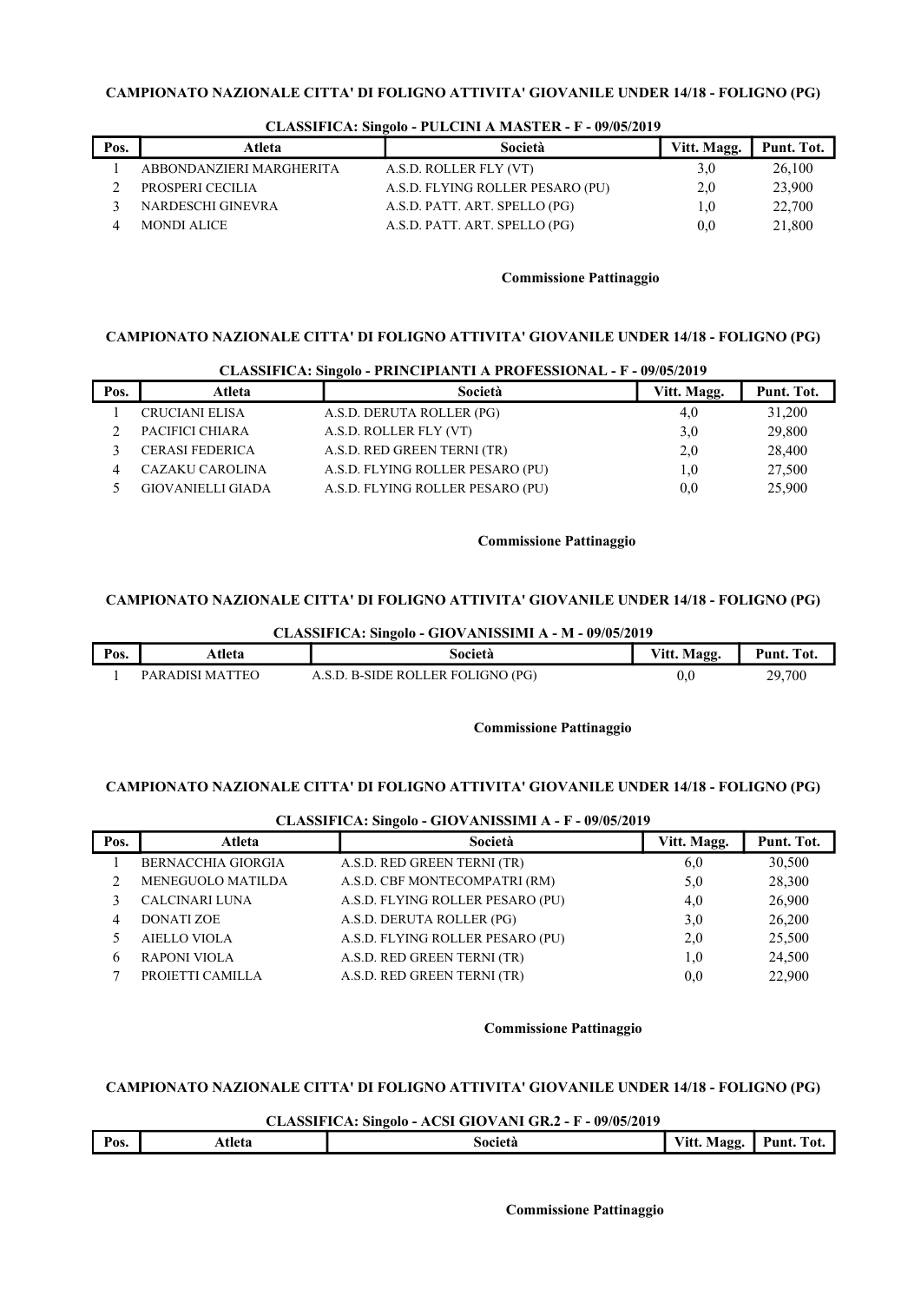| Pos. | Atleta                   | Società                          | Vitt. Magg. | Punt. Tot. |
|------|--------------------------|----------------------------------|-------------|------------|
|      | ABBONDANZIERI MARGHERITA | A.S.D. ROLLER FLY (VT)           | 3,0         | 26,100     |
|      | PROSPERI CECILIA         | A.S.D. FLYING ROLLER PESARO (PU) | 2,0         | 23,900     |
|      | NARDESCHI GINEVRA        | A.S.D. PATT. ART. SPELLO (PG)    | $1.0\,$     | 22,700     |
|      | <b>MONDI ALICE</b>       | A.S.D. PATT. ART. SPELLO (PG)    | 0,0         | 21,800     |

#### CLASSIFICA: Singolo - PULCINI A MASTER - F - 09/05/2019

## Commissione Pattinaggio

# CAMPIONATO NAZIONALE CITTA' DI FOLIGNO ATTIVITA' GIOVANILE UNDER 14/18 - FOLIGNO (PG)

|      |                          | CLASSIFICA: Singolo - PRINCIPIANTI A PROFESSIONAL - F - 09/05/2019 |             |            |
|------|--------------------------|--------------------------------------------------------------------|-------------|------------|
| Pos. | Atleta                   | Società                                                            | Vitt. Magg. | Punt. Tot. |
|      | <b>CRUCIANI ELISA</b>    | A.S.D. DERUTA ROLLER (PG)                                          | 4,0         | 31,200     |
|      | PACIFICI CHIARA          | A.S.D. ROLLER FLY (VT)                                             | 3,0         | 29,800     |
|      | <b>CERASI FEDERICA</b>   | A.S.D. RED GREEN TERNI (TR)                                        | 2,0         | 28,400     |
|      | CAZAKU CAROLINA          | A.S.D. FLYING ROLLER PESARO (PU)                                   | 1,0         | 27,500     |
|      | <b>GIOVANIELLI GIADA</b> | A.S.D. FLYING ROLLER PESARO (PU)                                   | 0.0         | 25,900     |

# Commissione Pattinaggio

# CAMPIONATO NAZIONALE CITTA' DI FOLIGNO ATTIVITA' GIOVANILE UNDER 14/18 - FOLIGNO (PG)

|      | CLASSIFICA: Singolo - GIOVANISSIMI A - M - 09/05/2019 |                                   |             |            |  |
|------|-------------------------------------------------------|-----------------------------------|-------------|------------|--|
| Pos. | Atleta                                                | Società                           | Vitt. Magg. | Punt. Tot. |  |
|      | PARADISI MATTEO                                       | A.S.D. B-SIDE ROLLER FOLIGNO (PG) | 0.0         | 29.700     |  |

Commissione Pattinaggio

## CAMPIONATO NAZIONALE CITTA' DI FOLIGNO ATTIVITA' GIOVANILE UNDER 14/18 - FOLIGNO (PG)

|      |                           | CEREDOIL TOTAL OILOUD OTO VIELHOOLINE IT US/100/2012 |             |            |
|------|---------------------------|------------------------------------------------------|-------------|------------|
| Pos. | Atleta                    | Società                                              | Vitt. Magg. | Punt. Tot. |
|      | <b>BERNACCHIA GIORGIA</b> | A.S.D. RED GREEN TERNI (TR)                          | 6,0         | 30,500     |
|      | MENEGUOLO MATILDA         | A.S.D. CBF MONTECOMPATRI (RM)                        | 5,0         | 28,300     |
|      | <b>CALCINARI LUNA</b>     | A.S.D. FLYING ROLLER PESARO (PU)                     | 4,0         | 26,900     |
|      | <b>DONATI ZOE</b>         | A.S.D. DERUTA ROLLER (PG)                            | 3,0         | 26,200     |
|      | <b>AIELLO VIOLA</b>       | A.S.D. FLYING ROLLER PESARO (PU)                     | 2,0         | 25,500     |
| 6    | <b>RAPONI VIOLA</b>       | A.S.D. RED GREEN TERNI (TR)                          | 1,0         | 24,500     |
|      | PROJETTI CAMILLA          | A.S.D. RED GREEN TERNI (TR)                          | 0.0         | 22,900     |

# CLASSIFICA: Singolo - GIOVANISSIMI A - F - 09/05/2019

#### Commissione Pattinaggio

# CAMPIONATO NAZIONALE CITTA' DI FOLIGNO ATTIVITA' GIOVANILE UNDER 14/18 - FOLIGNO (PG)

CLASSIFICA: Singolo - ACSI GIOVANI GR.2 - F - 09/05/2019

| Pos. | Atleta | Società | $-$<br>Magg<br>√itt.<br>-98 | Pum<br>$\mathbf{r}$<br>`O1 |
|------|--------|---------|-----------------------------|----------------------------|
|      |        |         |                             |                            |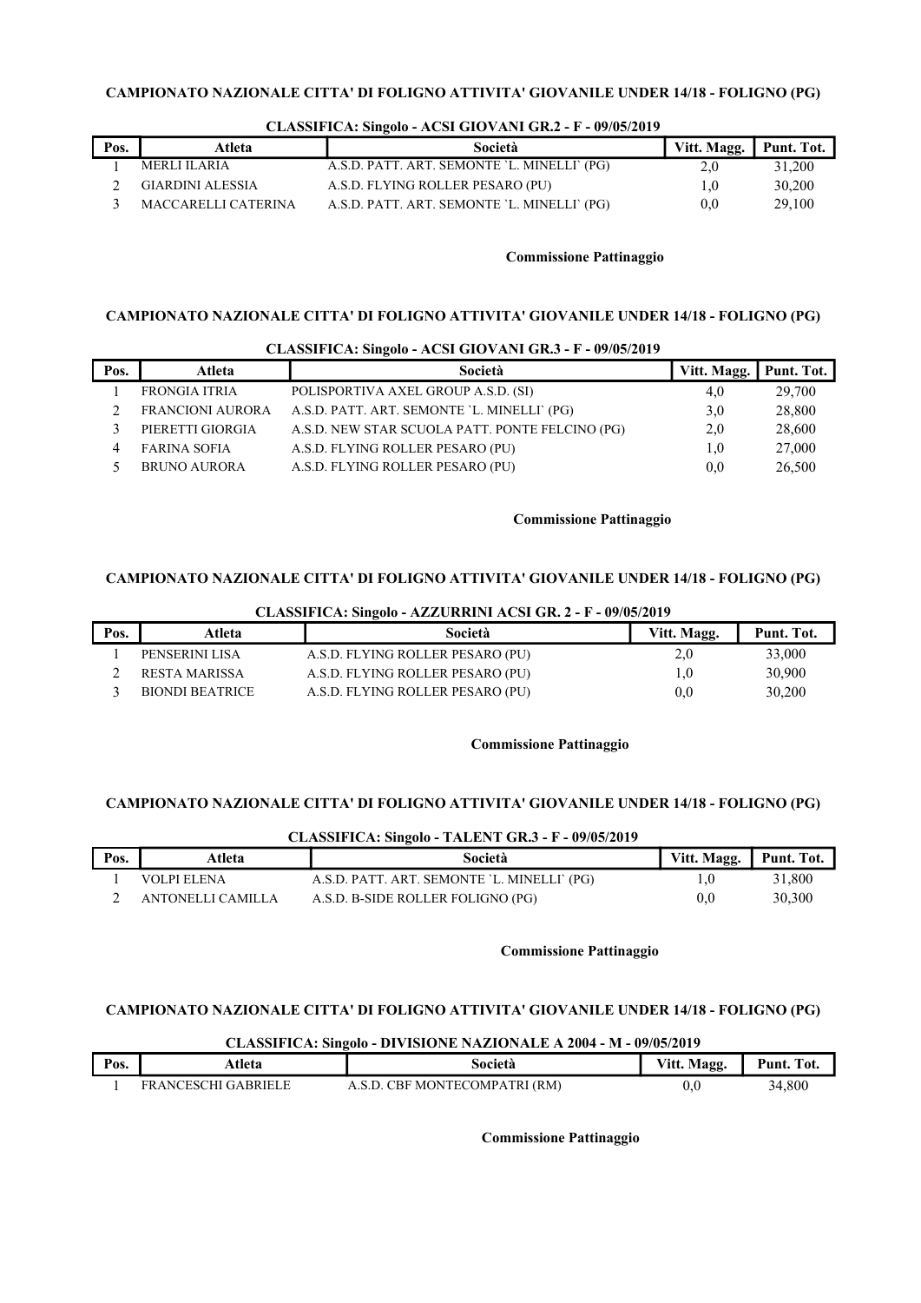|      |                         | . .                                         |              |            |
|------|-------------------------|---------------------------------------------|--------------|------------|
| Pos. | Atleta                  | Società                                     | Vitt. Magg.  | Punt. Tot. |
|      | MERLI ILARIA            | A.S.D. PATT. ART. SEMONTE 'L. MINELLI' (PG) | 2,0          | 31,200     |
|      | <b>GIARDINI ALESSIA</b> | A.S.D. FLYING ROLLER PESARO (PU)            | 1.0          | 30,200     |
|      | MACCARELLI CATERINA     | A.S.D. PATT. ART. SEMONTE 'L. MINELLI' (PG) | $_{\rm 0.0}$ | 29,100     |

#### CLASSIFICA: Singolo - ACSI GIOVANI GR.2 - F - 09/05/2019

#### Commissione Pattinaggio

## CAMPIONATO NAZIONALE CITTA' DI FOLIGNO ATTIVITA' GIOVANILE UNDER 14/18 - FOLIGNO (PG)

| CLASSIFICA: Singolo - ACSI GIOVANI GR.3 - F - 09/05/2019 |                         |                                                 |             |            |
|----------------------------------------------------------|-------------------------|-------------------------------------------------|-------------|------------|
| Pos.                                                     | Atleta                  | Società                                         | Vitt. Magg. | Punt. Tot. |
|                                                          | <b>FRONGIA ITRIA</b>    | POLISPORTIVA AXEL GROUP A.S.D. (SI)             | 4,0         | 29,700     |
|                                                          | <b>FRANCIONI AURORA</b> | A.S.D. PATT. ART. SEMONTE 'L. MINELLI' (PG)     | 3,0         | 28,800     |
|                                                          | PIERETTI GIORGIA        | A.S.D. NEW STAR SCUOLA PATT. PONTE FELCINO (PG) | 2.0         | 28,600     |
|                                                          | <b>FARINA SOFIA</b>     | A.S.D. FLYING ROLLER PESARO (PU)                | 1.0         | 27,000     |
|                                                          | <b>BRUNO AURORA</b>     | A.S.D. FLYING ROLLER PESARO (PU)                | 0.0         | 26,500     |

#### Commissione Pattinaggio

## CAMPIONATO NAZIONALE CITTA' DI FOLIGNO ATTIVITA' GIOVANILE UNDER 14/18 - FOLIGNO (PG)

CLASSIFICA: Singolo - AZZURRINI ACSI GR. 2 - F - 09/05/2019

| Pos. | Atleta          | Società                          | Vitt. Magg. | Punt. Tot. |
|------|-----------------|----------------------------------|-------------|------------|
|      | PENSERINI LISA  | A.S.D. FLYING ROLLER PESARO (PU) | 2,0         | 33,000     |
|      | RESTA MARISSA   | A.S.D. FLYING ROLLER PESARO (PU) | 0,1         | 30,900     |
|      | BIONDI BEATRICE | A.S.D. FLYING ROLLER PESARO (PU) | 0,0         | 30,200     |

## Commissione Pattinaggio

# CAMPIONATO NAZIONALE CITTA' DI FOLIGNO ATTIVITA' GIOVANILE UNDER 14/18 - FOLIGNO (PG)

#### CLASSIFICA: Singolo - TALENT GR.3 - F - 09/05/2019

| Pos. | Atleta            | Società                                     | Vitt. Magg. Punt. Tot. |        |
|------|-------------------|---------------------------------------------|------------------------|--------|
|      | VOLPI ELENA       | A.S.D. PATT. ART. SEMONTE `L. MINELLI` (PG) | 1,0                    | 31,800 |
|      | ANTONELLI CAMILLA | A.S.D. B-SIDE ROLLER FOLIGNO (PG)           | $_{\rm 0.0}$           | 30,300 |

#### Commissione Pattinaggio

# CAMPIONATO NAZIONALE CITTA' DI FOLIGNO ATTIVITA' GIOVANILE UNDER 14/18 - FOLIGNO (PG)

# CLASSIFICA: Singolo - DIVISIONE NAZIONALE A 2004 - M - 09/05/2019

| Pos. | tleta،                                                             | società                     | Vitt. N<br>Magg | $\sim$<br>Puni.<br>Tot |
|------|--------------------------------------------------------------------|-----------------------------|-----------------|------------------------|
|      | <b>RRIFI</b><br>FR A NCESC<br>`⊔ !<br>$\mathbf{I} \div \mathbf{A}$ | ' MONTECOMPATRI (RM)<br>`Н. | v.v             | 34.800                 |